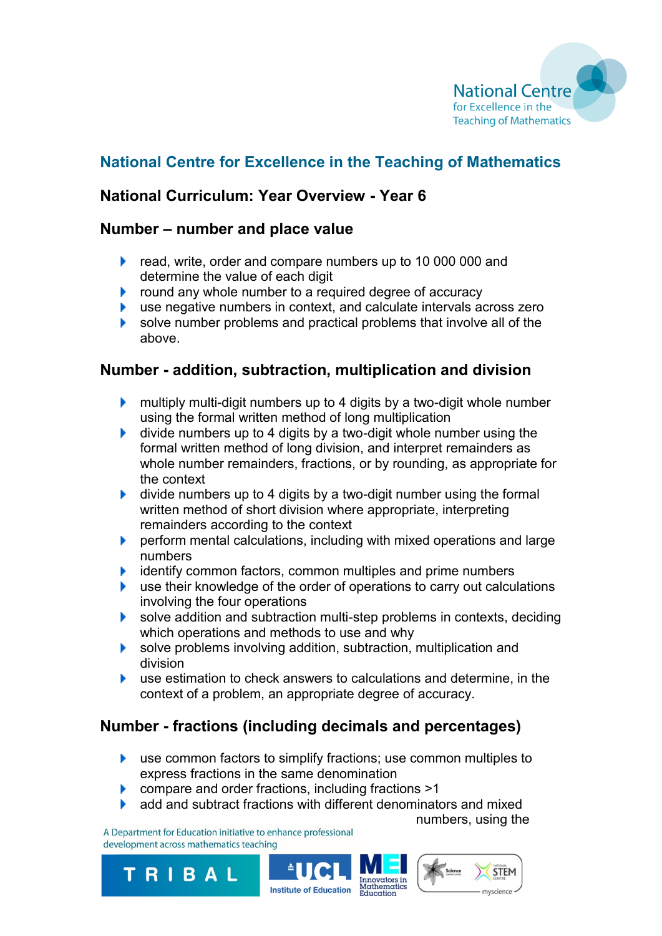

# **National Centre for Excellence in the Teaching of Mathematics**

## **National Curriculum: Year Overview - Year 6**

#### **Number – number and place value**

- read, write, order and compare numbers up to 10 000 000 and determine the value of each digit
- $\blacktriangleright$  round any whole number to a required degree of accuracy
- use negative numbers in context, and calculate intervals across zero Þ.
- solve number problems and practical problems that involve all of the above.

#### **Number - addition, subtraction, multiplication and division**

- **Multiply multi-digit numbers up to 4 digits by a two-digit whole number** using the formal written method of long multiplication
- $\blacktriangleright$  divide numbers up to 4 digits by a two-digit whole number using the formal written method of long division, and interpret remainders as whole number remainders, fractions, or by rounding, as appropriate for the context
- **If** divide numbers up to 4 digits by a two-digit number using the formal written method of short division where appropriate, interpreting remainders according to the context
- **P** perform mental calculations, including with mixed operations and large numbers
- Þ. identify common factors, common multiples and prime numbers
- use their knowledge of the order of operations to carry out calculations Þ. involving the four operations
- ▶ solve addition and subtraction multi-step problems in contexts, deciding which operations and methods to use and why
- solve problems involving addition, subtraction, multiplication and division
- use estimation to check answers to calculations and determine, in the ¥. context of a problem, an appropriate degree of accuracy.

# **Number - fractions (including decimals and percentages)**

- **EXTERN** use common factors to simplify fractions; use common multiples to express fractions in the same denomination
- **Compare and order fractions, including fractions >1**
- **A** add and subtract fractions with different denominators and mixed

Institute of Education Mathemat

A Department for Education initiative to enhance professional development across mathematics teaching

TRIBAL

**STEM**  $vators$  in Iniovators<br>Internatics

numbers, using the

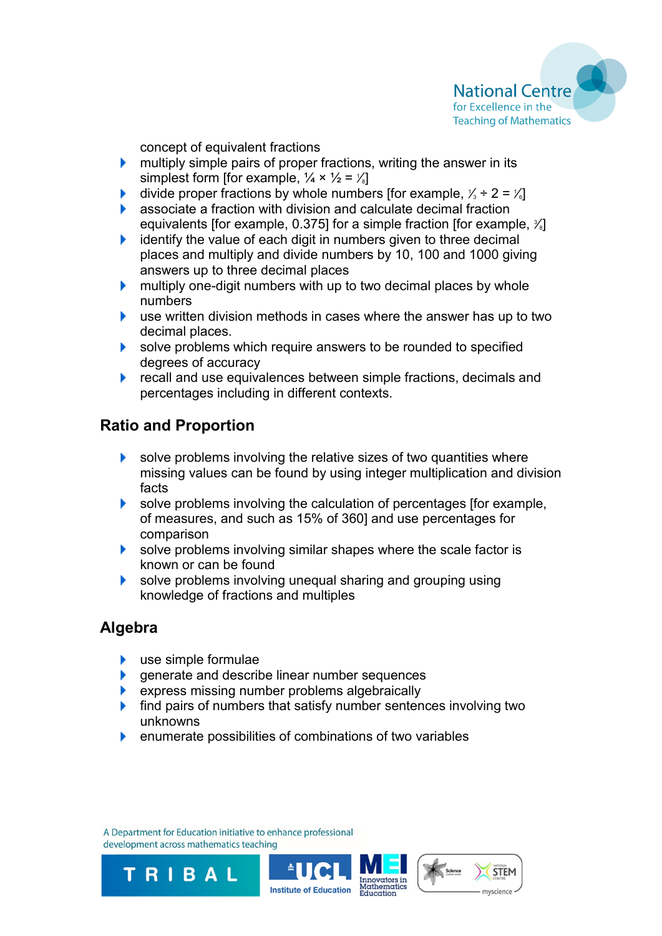

concept of equivalent fractions

- ¥. multiply simple pairs of proper fractions, writing the answer in its simplest form [for example,  $\frac{1}{4} \times \frac{1}{2} = \frac{1}{8}$ ]
- Þ. divide proper fractions by whole numbers [for example,  $\frac{1}{3} \div 2 = \frac{1}{6}$ ]
- associate a fraction with division and calculate decimal fraction equivalents [for example, 0.375] for a simple fraction [for example,  $\frac{3}{8}$ ]
- identify the value of each digit in numbers given to three decimal ¥. places and multiply and divide numbers by 10, 100 and 1000 giving answers up to three decimal places
- multiply one-digit numbers with up to two decimal places by whole Þ. numbers
- **E** use written division methods in cases where the answer has up to two decimal places.
- solve problems which require answers to be rounded to specified degrees of accuracy
- Þ. recall and use equivalences between simple fractions, decimals and percentages including in different contexts.

## **Ratio and Proportion**

- solve problems involving the relative sizes of two quantities where Þ. missing values can be found by using integer multiplication and division facts
- solve problems involving the calculation of percentages [for example, of measures, and such as 15% of 360] and use percentages for comparison
- solve problems involving similar shapes where the scale factor is known or can be found
- Þ. solve problems involving unequal sharing and grouping using knowledge of fractions and multiples

#### **Algebra**

**►** use simple formulae

TRIBAL

- **e** generate and describe linear number sequences
- **EXPLEM** express missing number problems algebraically
- $\blacktriangleright$  find pairs of numbers that satisfy number sentences involving two unknowns
- **EXECUTE:** enumerate possibilities of combinations of two variables

A Department for Education initiative to enhance professional development across mathematics teaching